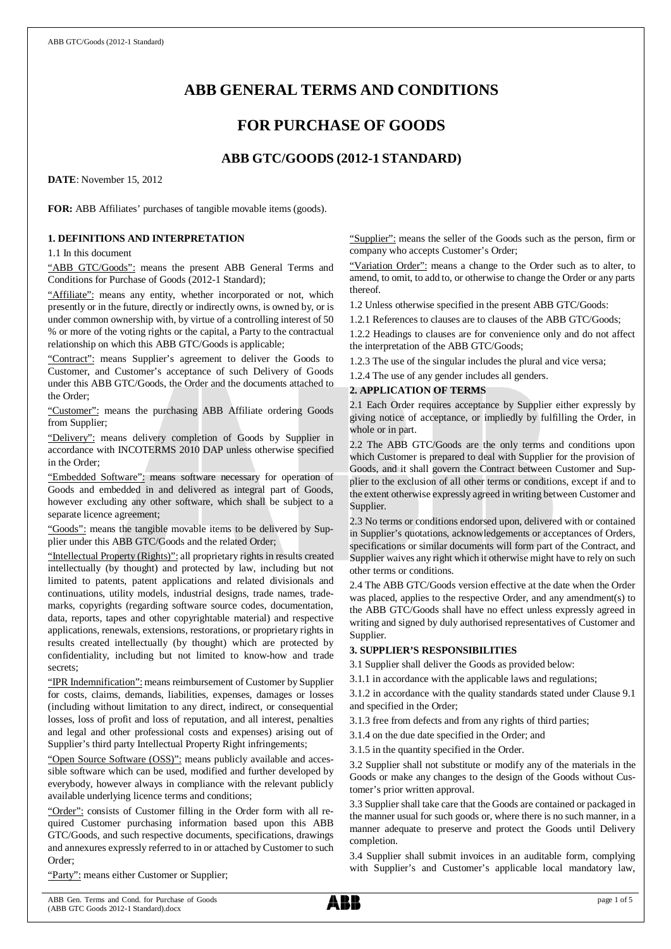# **ABB GENERAL TERMS AND CONDITIONS**

# **FOR PURCHASE OF GOODS**

# **ABB GTC/GOODS (2012-1 STANDARD)**

**DATE**: November 15, 2012

**FOR:** ABB Affiliates' purchases of tangible movable items (goods).

# **1. DEFINITIONS AND INTERPRETATION**

1.1 In this document

"ABB GTC/Goods": means the present ABB General Terms and Conditions for Purchase of Goods (2012-1 Standard);

"Affiliate": means any entity, whether incorporated or not, which presently or in the future, directly or indirectly owns, is owned by, or is under common ownership with, by virtue of a controlling interest of 50 % or more of the voting rights or the capital, a Party to the contractual relationship on which this ABB GTC/Goods is applicable;

"Contract": means Supplier's agreement to deliver the Goods to Customer, and Customer's acceptance of such Delivery of Goods under this ABB GTC/Goods, the Order and the documents attached to the Order;

"Customer": means the purchasing ABB Affiliate ordering Goods from Supplier;

"Delivery": means delivery completion of Goods by Supplier in accordance with INCOTERMS 2010 DAP unless otherwise specified in the Order;

"Embedded Software": means software necessary for operation of Goods and embedded in and delivered as integral part of Goods, however excluding any other software, which shall be subject to a separate licence agreement;

"Goods": means the tangible movable items to be delivered by Supplier under this ABB GTC/Goods and the related Order;

"Intellectual Property (Rights)": all proprietary rights in results created intellectually (by thought) and protected by law, including but not limited to patents, patent applications and related divisionals and continuations, utility models, industrial designs, trade names, trademarks, copyrights (regarding software source codes, documentation, data, reports, tapes and other copyrightable material) and respective applications, renewals, extensions, restorations, or proprietary rights in results created intellectually (by thought) which are protected by confidentiality, including but not limited to know-how and trade secrets;

"IPR Indemnification": means reimbursement of Customer by Supplier for costs, claims, demands, liabilities, expenses, damages or losses (including without limitation to any direct, indirect, or consequential losses, loss of profit and loss of reputation, and all interest, penalties and legal and other professional costs and expenses) arising out of Supplier's third party Intellectual Property Right infringements;

"Open Source Software (OSS)": means publicly available and accessible software which can be used, modified and further developed by everybody, however always in compliance with the relevant publicly available underlying licence terms and conditions;

"Order": consists of Customer filling in the Order form with all required Customer purchasing information based upon this ABB GTC/Goods, and such respective documents, specifications, drawings and annexures expressly referred to in or attached by Customer to such Order;

"Party": means either Customer or Supplier;

"Supplier": means the seller of the Goods such as the person, firm or company who accepts Customer's Order;

"Variation Order": means a change to the Order such as to alter, to amend, to omit, to add to, or otherwise to change the Order or any parts thereof.

1.2 Unless otherwise specified in the present ABB GTC/Goods:

1.2.1 References to clauses are to clauses of the ABB GTC/Goods;

1.2.2 Headings to clauses are for convenience only and do not affect the interpretation of the ABB GTC/Goods;

1.2.3 The use of the singular includes the plural and vice versa;

1.2.4 The use of any gender includes all genders.

# **2. APPLICATION OF TERMS**

2.1 Each Order requires acceptance by Supplier either expressly by giving notice of acceptance, or impliedly by fulfilling the Order, in whole or in part.

2.2 The ABB GTC/Goods are the only terms and conditions upon which Customer is prepared to deal with Supplier for the provision of Goods, and it shall govern the Contract between Customer and Supplier to the exclusion of all other terms or conditions, except if and to the extent otherwise expressly agreed in writing between Customer and Supplier.

2.3 No terms or conditions endorsed upon, delivered with or contained in Supplier's quotations, acknowledgements or acceptances of Orders, specifications or similar documents will form part of the Contract, and Supplier waives any right which it otherwise might have to rely on such other terms or conditions.

2.4 The ABB GTC/Goods version effective at the date when the Order was placed, applies to the respective Order, and any amendment(s) to the ABB GTC/Goods shall have no effect unless expressly agreed in writing and signed by duly authorised representatives of Customer and Supplier.

# **3. SUPPLIER'S RESPONSIBILITIES**

3.1 Supplier shall deliver the Goods as provided below:

3.1.1 in accordance with the applicable laws and regulations;

3.1.2 in accordance with the quality standards stated under Clause 9.1 and specified in the Order;

3.1.3 free from defects and from any rights of third parties;

3.1.4 on the due date specified in the Order; and

3.1.5 in the quantity specified in the Order.

3.2 Supplier shall not substitute or modify any of the materials in the Goods or make any changes to the design of the Goods without Customer's prior written approval.

3.3 Supplier shall take care that the Goods are contained or packaged in the manner usual for such goods or, where there is no such manner, in a manner adequate to preserve and protect the Goods until Delivery completion.

3.4 Supplier shall submit invoices in an auditable form, complying with Supplier's and Customer's applicable local mandatory law,

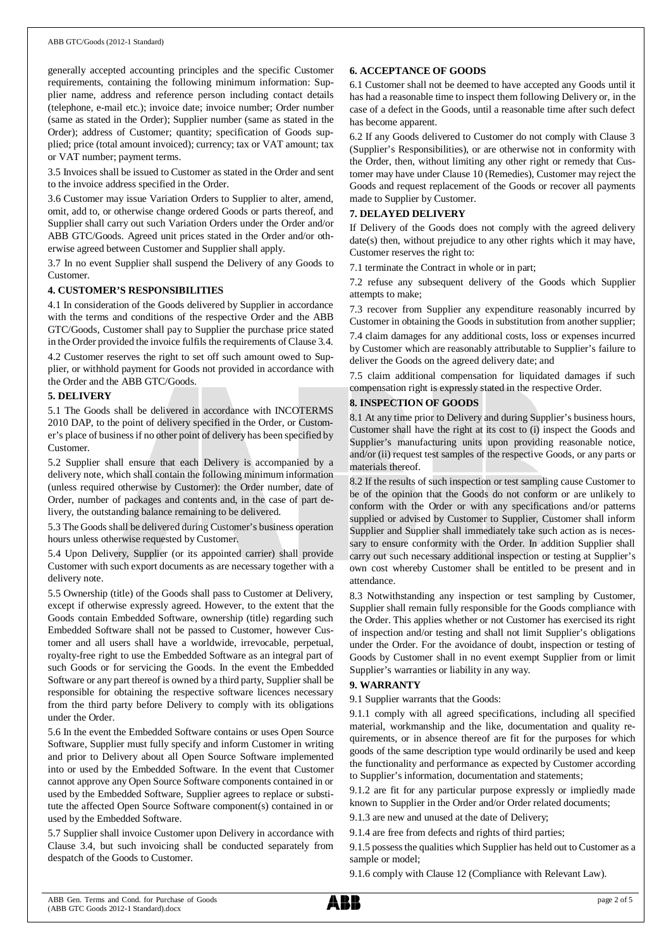#### ABB GTC/Goods (2012-1 Standard)

generally accepted accounting principles and the specific Customer requirements, containing the following minimum information: Supplier name, address and reference person including contact details (telephone, e-mail etc.); invoice date; invoice number; Order number (same as stated in the Order); Supplier number (same as stated in the Order); address of Customer; quantity; specification of Goods supplied; price (total amount invoiced); currency; tax or VAT amount; tax or VAT number; payment terms.

3.5 Invoices shall be issued to Customer as stated in the Order and sent to the invoice address specified in the Order.

3.6 Customer may issue Variation Orders to Supplier to alter, amend, omit, add to, or otherwise change ordered Goods or parts thereof, and Supplier shall carry out such Variation Orders under the Order and/or ABB GTC/Goods. Agreed unit prices stated in the Order and/or otherwise agreed between Customer and Supplier shall apply.

3.7 In no event Supplier shall suspend the Delivery of any Goods to Customer.

#### **4. CUSTOMER'S RESPONSIBILITIES**

4.1 In consideration of the Goods delivered by Supplier in accordance with the terms and conditions of the respective Order and the ABB GTC/Goods, Customer shall pay to Supplier the purchase price stated in the Order provided the invoice fulfils the requirements of Clause 3.4.

4.2 Customer reserves the right to set off such amount owed to Supplier, or withhold payment for Goods not provided in accordance with the Order and the ABB GTC/Goods.

#### **5. DELIVERY**

5.1 The Goods shall be delivered in accordance with INCOTERMS 2010 DAP, to the point of delivery specified in the Order, or Customer's place of business if no other point of delivery has been specified by Customer.

5.2 Supplier shall ensure that each Delivery is accompanied by a delivery note, which shall contain the following minimum information (unless required otherwise by Customer): the Order number, date of Order, number of packages and contents and, in the case of part delivery, the outstanding balance remaining to be delivered.

5.3 The Goods shall be delivered during Customer's business operation hours unless otherwise requested by Customer.

5.4 Upon Delivery, Supplier (or its appointed carrier) shall provide Customer with such export documents as are necessary together with a delivery note.

5.5 Ownership (title) of the Goods shall pass to Customer at Delivery, except if otherwise expressly agreed. However, to the extent that the Goods contain Embedded Software, ownership (title) regarding such Embedded Software shall not be passed to Customer, however Customer and all users shall have a worldwide, irrevocable, perpetual, royalty-free right to use the Embedded Software as an integral part of such Goods or for servicing the Goods. In the event the Embedded Software or any part thereof is owned by a third party, Supplier shall be responsible for obtaining the respective software licences necessary from the third party before Delivery to comply with its obligations under the Order.

5.6 In the event the Embedded Software contains or uses Open Source Software, Supplier must fully specify and inform Customer in writing and prior to Delivery about all Open Source Software implemented into or used by the Embedded Software. In the event that Customer cannot approve any Open Source Software components contained in or used by the Embedded Software, Supplier agrees to replace or substitute the affected Open Source Software component(s) contained in or used by the Embedded Software.

5.7 Supplier shall invoice Customer upon Delivery in accordance with Clause 3.4, but such invoicing shall be conducted separately from despatch of the Goods to Customer.

#### **6. ACCEPTANCE OF GOODS**

6.1 Customer shall not be deemed to have accepted any Goods until it has had a reasonable time to inspect them following Delivery or, in the case of a defect in the Goods, until a reasonable time after such defect has become apparent.

6.2 If any Goods delivered to Customer do not comply with Clause 3 (Supplier's Responsibilities), or are otherwise not in conformity with the Order, then, without limiting any other right or remedy that Customer may have under Clause 10 (Remedies), Customer may reject the Goods and request replacement of the Goods or recover all payments made to Supplier by Customer.

#### **7. DELAYED DELIVERY**

If Delivery of the Goods does not comply with the agreed delivery date(s) then, without prejudice to any other rights which it may have, Customer reserves the right to:

7.1 terminate the Contract in whole or in part;

7.2 refuse any subsequent delivery of the Goods which Supplier attempts to make;

7.3 recover from Supplier any expenditure reasonably incurred by Customer in obtaining the Goods in substitution from another supplier;

7.4 claim damages for any additional costs, loss or expenses incurred by Customer which are reasonably attributable to Supplier's failure to deliver the Goods on the agreed delivery date; and

7.5 claim additional compensation for liquidated damages if such compensation right is expressly stated in the respective Order.

#### **8. INSPECTION OF GOODS**

8.1 At any time prior to Delivery and during Supplier's business hours, Customer shall have the right at its cost to (i) inspect the Goods and Supplier's manufacturing units upon providing reasonable notice, and/or (ii) request test samples of the respective Goods, or any parts or materials thereof.

8.2 If the results of such inspection or test sampling cause Customer to be of the opinion that the Goods do not conform or are unlikely to conform with the Order or with any specifications and/or patterns supplied or advised by Customer to Supplier, Customer shall inform Supplier and Supplier shall immediately take such action as is necessary to ensure conformity with the Order. In addition Supplier shall carry out such necessary additional inspection or testing at Supplier's own cost whereby Customer shall be entitled to be present and in attendance.

8.3 Notwithstanding any inspection or test sampling by Customer, Supplier shall remain fully responsible for the Goods compliance with the Order. This applies whether or not Customer has exercised its right of inspection and/or testing and shall not limit Supplier's obligations under the Order. For the avoidance of doubt, inspection or testing of Goods by Customer shall in no event exempt Supplier from or limit Supplier's warranties or liability in any way.

#### **9. WARRANTY**

9.1 Supplier warrants that the Goods:

9.1.1 comply with all agreed specifications, including all specified material, workmanship and the like, documentation and quality requirements, or in absence thereof are fit for the purposes for which goods of the same description type would ordinarily be used and keep the functionality and performance as expected by Customer according to Supplier's information, documentation and statements;

9.1.2 are fit for any particular purpose expressly or impliedly made known to Supplier in the Order and/or Order related documents;

9.1.3 are new and unused at the date of Delivery;

9.1.4 are free from defects and rights of third parties;

9.1.5 possess the qualities which Supplier has held out to Customer as a sample or model;

9.1.6 comply with Clause 12 (Compliance with Relevant Law).

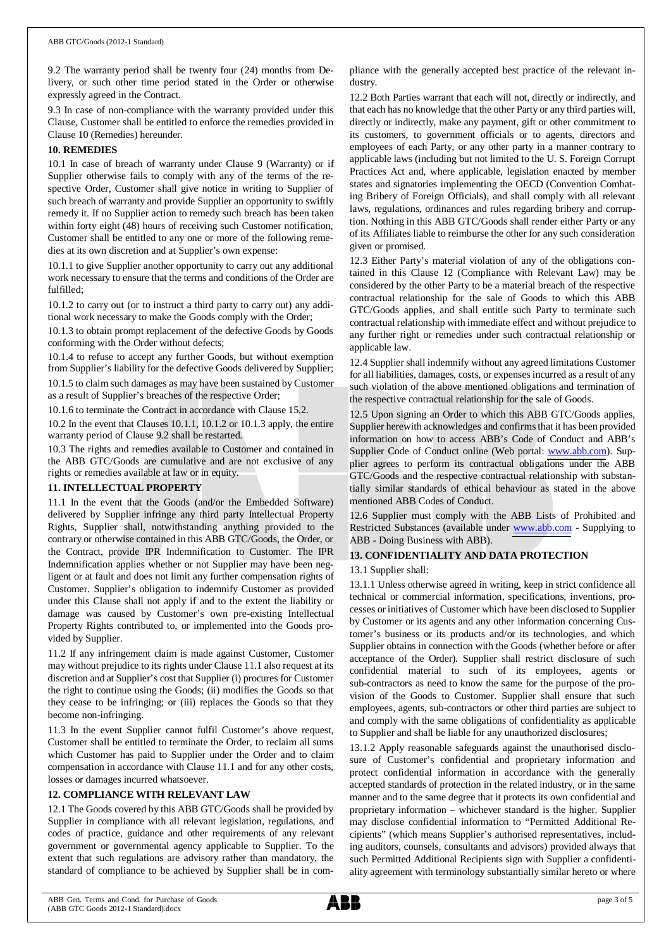9.2 The warranty period shall be twenty four (24) months from Delivery, or such other time period stated in the Order or otherwise expressly agreed in the Contract.

9.3 In case of non-compliance with the warranty provided under this Clause, Customer shall be entitled to enforce the remedies provided in Clause 10 (Remedies) hereunder.

#### **10. REMEDIES**

10.1 In case of breach of warranty under Clause 9 (Warranty) or if Supplier otherwise fails to comply with any of the terms of the respective Order, Customer shall give notice in writing to Supplier of such breach of warranty and provide Supplier an opportunity to swiftly remedy it. If no Supplier action to remedy such breach has been taken within forty eight (48) hours of receiving such Customer notification, Customer shall be entitled to any one or more of the following remedies at its own discretion and at Supplier's own expense:

10.1.1 to give Supplier another opportunity to carry out any additional work necessary to ensure that the terms and conditions of the Order are fulfilled;

10.1.2 to carry out (or to instruct a third party to carry out) any additional work necessary to make the Goods comply with the Order;

10.1.3 to obtain prompt replacement of the defective Goods by Goods conforming with the Order without defects;

10.1.4 to refuse to accept any further Goods, but without exemption from Supplier's liability for the defective Goods delivered by Supplier;

10.1.5 to claim such damages as may have been sustained by Customer as a result of Supplier's breaches of the respective Order;

10.1.6 to terminate the Contract in accordance with Clause 15.2.

10.2 In the event that Clauses 10.1.1, 10.1.2 or 10.1.3 apply, the entire warranty period of Clause 9.2 shall be restarted.

10.3 The rights and remedies available to Customer and contained in the ABB GTC/Goods are cumulative and are not exclusive of any rights or remedies available at law or in equity.

# **11. INTELLECTUAL PROPERTY**

11.1 In the event that the Goods (and/or the Embedded Software) delivered by Supplier infringe any third party Intellectual Property Rights, Supplier shall, notwithstanding anything provided to the contrary or otherwise contained in this ABB GTC/Goods, the Order, or the Contract, provide IPR Indemnification to Customer. The IPR Indemnification applies whether or not Supplier may have been negligent or at fault and does not limit any further compensation rights of Customer. Supplier's obligation to indemnify Customer as provided under this Clause shall not apply if and to the extent the liability or damage was caused by Customer's own pre-existing Intellectual Property Rights contributed to, or implemented into the Goods provided by Supplier.

11.2 If any infringement claim is made against Customer, Customer may without prejudice to its rights under Clause 11.1 also request at its discretion and at Supplier's cost that Supplier (i) procures for Customer the right to continue using the Goods; (ii) modifies the Goods so that they cease to be infringing; or (iii) replaces the Goods so that they become non-infringing.

11.3 In the event Supplier cannot fulfil Customer's above request, Customer shall be entitled to terminate the Order, to reclaim all sums which Customer has paid to Supplier under the Order and to claim compensation in accordance with Clause 11.1 and for any other costs, losses or damages incurred whatsoever.

# **12. COMPLIANCE WITH RELEVANT LAW**

12.1 The Goods covered by this ABB GTC/Goods shall be provided by Supplier in compliance with all relevant legislation, regulations, and codes of practice, guidance and other requirements of any relevant government or governmental agency applicable to Supplier. To the extent that such regulations are advisory rather than mandatory, the standard of compliance to be achieved by Supplier shall be in compliance with the generally accepted best practice of the relevant industry.

12.2 Both Parties warrant that each will not, directly or indirectly, and that each has no knowledge that the other Party or any third parties will, directly or indirectly, make any payment, gift or other commitment to its customers, to government officials or to agents, directors and employees of each Party, or any other party in a manner contrary to applicable laws (including but not limited to the U. S. Foreign Corrupt Practices Act and, where applicable, legislation enacted by member states and signatories implementing the OECD (Convention Combating Bribery of Foreign Officials), and shall comply with all relevant laws, regulations, ordinances and rules regarding bribery and corruption. Nothing in this ABB GTC/Goods shall render either Party or any of its Affiliates liable to reimburse the other for any such consideration given or promised.

12.3 Either Party's material violation of any of the obligations contained in this Clause 12 (Compliance with Relevant Law) may be considered by the other Party to be a material breach of the respective contractual relationship for the sale of Goods to which this ABB GTC/Goods applies, and shall entitle such Party to terminate such contractual relationship with immediate effect and without prejudice to any further right or remedies under such contractual relationship or applicable law.

12.4 Supplier shall indemnify without any agreed limitations Customer for all liabilities, damages, costs, or expenses incurred as a result of any such violation of the above mentioned obligations and termination of the respective contractual relationship for the sale of Goods.

12.5 Upon signing an Order to which this ABB GTC/Goods applies, Supplier herewith acknowledges and confirms that it has been provided information on how to access ABB's Code of Conduct and ABB's Supplier Code of Conduct online (Web portal: [www.abb.com](http://www.abb.com/)). Supplier agrees to perform its contractual obligations under the ABB GTC/Goods and the respective contractual relationship with substantially similar standards of ethical behaviour as stated in the above mentioned ABB Codes of Conduct.

12.6 Supplier must comply with the ABB Lists of Prohibited and Restricted Substances (available under [www.abb.com](http://www.abb.com/) - Supplying to ABB - Doing Business with ABB).

# **13. CONFIDENTIALITY AND DATA PROTECTION**

# 13.1 Supplier shall:

13.1.1 Unless otherwise agreed in writing, keep in strict confidence all technical or commercial information, specifications, inventions, processes or initiatives of Customer which have been disclosed to Supplier by Customer or its agents and any other information concerning Customer's business or its products and/or its technologies, and which Supplier obtains in connection with the Goods (whether before or after acceptance of the Order). Supplier shall restrict disclosure of such confidential material to such of its employees, agents or sub-contractors as need to know the same for the purpose of the provision of the Goods to Customer. Supplier shall ensure that such employees, agents, sub-contractors or other third parties are subject to and comply with the same obligations of confidentiality as applicable to Supplier and shall be liable for any unauthorized disclosures;

13.1.2 Apply reasonable safeguards against the unauthorised disclosure of Customer's confidential and proprietary information and protect confidential information in accordance with the generally accepted standards of protection in the related industry, or in the same manner and to the same degree that it protects its own confidential and proprietary information – whichever standard is the higher. Supplier may disclose confidential information to "Permitted Additional Recipients" (which means Supplier's authorised representatives, including auditors, counsels, consultants and advisors) provided always that such Permitted Additional Recipients sign with Supplier a confidentiality agreement with terminology substantially similar hereto or where

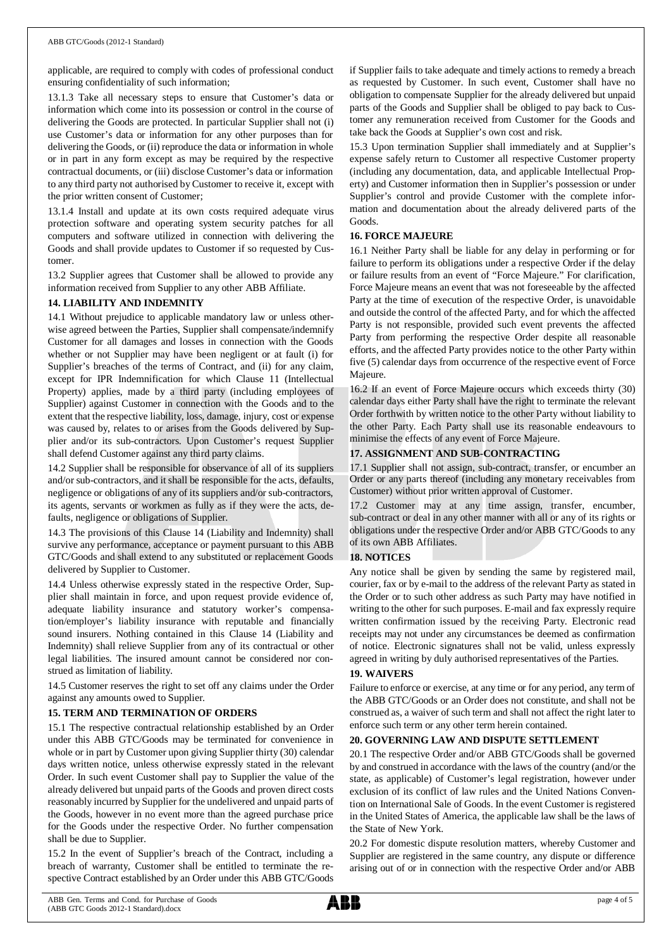applicable, are required to comply with codes of professional conduct ensuring confidentiality of such information;

13.1.3 Take all necessary steps to ensure that Customer's data or information which come into its possession or control in the course of delivering the Goods are protected. In particular Supplier shall not (i) use Customer's data or information for any other purposes than for delivering the Goods, or (ii) reproduce the data or information in whole or in part in any form except as may be required by the respective contractual documents, or (iii) disclose Customer's data or information to any third party not authorised by Customer to receive it, except with the prior written consent of Customer;

13.1.4 Install and update at its own costs required adequate virus protection software and operating system security patches for all computers and software utilized in connection with delivering the Goods and shall provide updates to Customer if so requested by Customer.

13.2 Supplier agrees that Customer shall be allowed to provide any information received from Supplier to any other ABB Affiliate.

#### **14. LIABILITY AND INDEMNITY**

14.1 Without prejudice to applicable mandatory law or unless otherwise agreed between the Parties, Supplier shall compensate/indemnify Customer for all damages and losses in connection with the Goods whether or not Supplier may have been negligent or at fault (i) for Supplier's breaches of the terms of Contract, and (ii) for any claim, except for IPR Indemnification for which Clause 11 (Intellectual Property) applies, made by a third party (including employees of Supplier) against Customer in connection with the Goods and to the extent that the respective liability, loss, damage, injury, cost or expense was caused by, relates to or arises from the Goods delivered by Supplier and/or its sub-contractors. Upon Customer's request Supplier shall defend Customer against any third party claims.

14.2 Supplier shall be responsible for observance of all of its suppliers and/or sub-contractors, and it shall be responsible for the acts, defaults, negligence or obligations of any of its suppliers and/or sub-contractors, its agents, servants or workmen as fully as if they were the acts, defaults, negligence or obligations of Supplier.

14.3 The provisions of this Clause 14 (Liability and Indemnity) shall survive any performance, acceptance or payment pursuant to this ABB GTC/Goods and shall extend to any substituted or replacement Goods delivered by Supplier to Customer.

14.4 Unless otherwise expressly stated in the respective Order, Supplier shall maintain in force, and upon request provide evidence of, adequate liability insurance and statutory worker's compensation/employer's liability insurance with reputable and financially sound insurers. Nothing contained in this Clause 14 (Liability and Indemnity) shall relieve Supplier from any of its contractual or other legal liabilities. The insured amount cannot be considered nor construed as limitation of liability.

14.5 Customer reserves the right to set off any claims under the Order against any amounts owed to Supplier.

# **15. TERM AND TERMINATION OF ORDERS**

15.1 The respective contractual relationship established by an Order under this ABB GTC/Goods may be terminated for convenience in whole or in part by Customer upon giving Supplier thirty (30) calendar days written notice, unless otherwise expressly stated in the relevant Order. In such event Customer shall pay to Supplier the value of the already delivered but unpaid parts of the Goods and proven direct costs reasonably incurred by Supplier for the undelivered and unpaid parts of the Goods, however in no event more than the agreed purchase price for the Goods under the respective Order. No further compensation shall be due to Supplier.

15.2 In the event of Supplier's breach of the Contract, including a breach of warranty, Customer shall be entitled to terminate the respective Contract established by an Order under this ABB GTC/Goods

if Supplier fails to take adequate and timely actions to remedy a breach as requested by Customer. In such event, Customer shall have no obligation to compensate Supplier for the already delivered but unpaid parts of the Goods and Supplier shall be obliged to pay back to Customer any remuneration received from Customer for the Goods and take back the Goods at Supplier's own cost and risk.

15.3 Upon termination Supplier shall immediately and at Supplier's expense safely return to Customer all respective Customer property (including any documentation, data, and applicable Intellectual Property) and Customer information then in Supplier's possession or under Supplier's control and provide Customer with the complete information and documentation about the already delivered parts of the Goods.

#### **16. FORCE MAJEURE**

16.1 Neither Party shall be liable for any delay in performing or for failure to perform its obligations under a respective Order if the delay or failure results from an event of "Force Majeure." For clarification, Force Majeure means an event that was not foreseeable by the affected Party at the time of execution of the respective Order, is unavoidable and outside the control of the affected Party, and for which the affected Party is not responsible, provided such event prevents the affected Party from performing the respective Order despite all reasonable efforts, and the affected Party provides notice to the other Party within five (5) calendar days from occurrence of the respective event of Force Majeure.

16.2 If an event of Force Majeure occurs which exceeds thirty (30) calendar days either Party shall have the right to terminate the relevant Order forthwith by written notice to the other Party without liability to the other Party. Each Party shall use its reasonable endeavours to minimise the effects of any event of Force Majeure.

# **17. ASSIGNMENT AND SUB-CONTRACTING**

17.1 Supplier shall not assign, sub-contract, transfer, or encumber an Order or any parts thereof (including any monetary receivables from Customer) without prior written approval of Customer.

17.2 Customer may at any time assign, transfer, encumber, sub-contract or deal in any other manner with all or any of its rights or obligations under the respective Order and/or ABB GTC/Goods to any of its own ABB Affiliates.

#### **18. NOTICES**

Any notice shall be given by sending the same by registered mail, courier, fax or by e-mail to the address of the relevant Party as stated in the Order or to such other address as such Party may have notified in writing to the other for such purposes. E-mail and fax expressly require written confirmation issued by the receiving Party. Electronic read receipts may not under any circumstances be deemed as confirmation of notice. Electronic signatures shall not be valid, unless expressly agreed in writing by duly authorised representatives of the Parties.

# **19. WAIVERS**

Failure to enforce or exercise, at any time or for any period, any term of the ABB GTC/Goods or an Order does not constitute, and shall not be construed as, a waiver of such term and shall not affect the right later to enforce such term or any other term herein contained.

#### **20. GOVERNING LAW AND DISPUTE SETTLEMENT**

20.1 The respective Order and/or ABB GTC/Goods shall be governed by and construed in accordance with the laws of the country (and/or the state, as applicable) of Customer's legal registration, however under exclusion of its conflict of law rules and the United Nations Convention on International Sale of Goods. In the event Customer is registered in the United States of America, the applicable law shall be the laws of the State of New York.

20.2 For domestic dispute resolution matters, whereby Customer and Supplier are registered in the same country, any dispute or difference arising out of or in connection with the respective Order and/or ABB